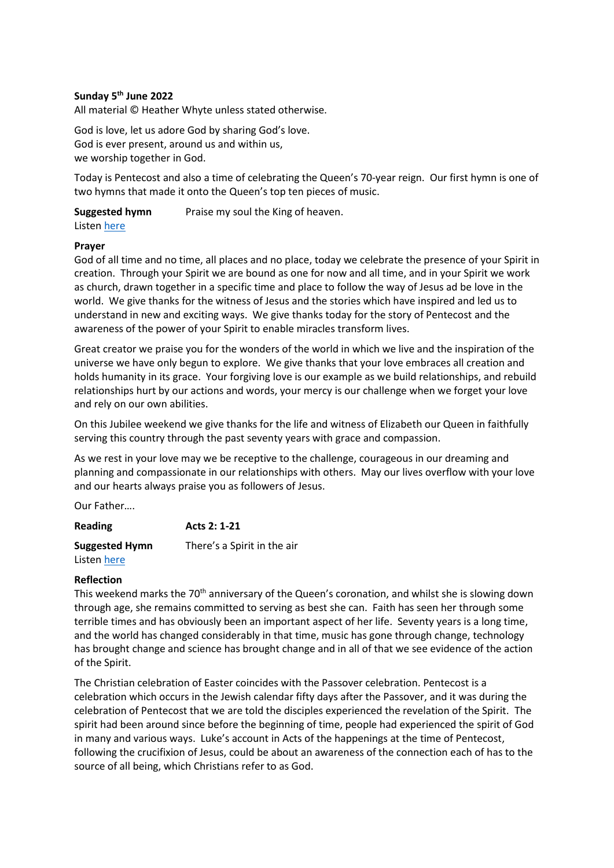# **Sunday 5 th June 2022**

All material © Heather Whyte unless stated otherwise.

God is love, let us adore God by sharing God's love. God is ever present, around us and within us, we worship together in God.

Today is Pentecost and also a time of celebrating the Queen's 70-year reign. Our first hymn is one of two hymns that made it onto the Queen's top ten pieces of music.

**Suggested hymn** Praise my soul the King of heaven.

Listen [here](https://www.youtube.com/watch?v=GyRIVbdsi4c)

## **Prayer**

God of all time and no time, all places and no place, today we celebrate the presence of your Spirit in creation. Through your Spirit we are bound as one for now and all time, and in your Spirit we work as church, drawn together in a specific time and place to follow the way of Jesus ad be love in the world. We give thanks for the witness of Jesus and the stories which have inspired and led us to understand in new and exciting ways. We give thanks today for the story of Pentecost and the awareness of the power of your Spirit to enable miracles transform lives.

Great creator we praise you for the wonders of the world in which we live and the inspiration of the universe we have only begun to explore. We give thanks that your love embraces all creation and holds humanity in its grace. Your forgiving love is our example as we build relationships, and rebuild relationships hurt by our actions and words, your mercy is our challenge when we forget your love and rely on our own abilities.

On this Jubilee weekend we give thanks for the life and witness of Elizabeth our Queen in faithfully serving this country through the past seventy years with grace and compassion.

As we rest in your love may we be receptive to the challenge, courageous in our dreaming and planning and compassionate in our relationships with others. May our lives overflow with your love and our hearts always praise you as followers of Jesus.

Our Father….

| Reading<br><b>Suggested Hymn</b> | Acts 2: 1-21<br>There's a Spirit in the air |
|----------------------------------|---------------------------------------------|
|                                  |                                             |

# **Reflection**

This weekend marks the 70<sup>th</sup> anniversary of the Queen's coronation, and whilst she is slowing down through age, she remains committed to serving as best she can. Faith has seen her through some terrible times and has obviously been an important aspect of her life. Seventy years is a long time, and the world has changed considerably in that time, music has gone through change, technology has brought change and science has brought change and in all of that we see evidence of the action of the Spirit.

The Christian celebration of Easter coincides with the Passover celebration. Pentecost is a celebration which occurs in the Jewish calendar fifty days after the Passover, and it was during the celebration of Pentecost that we are told the disciples experienced the revelation of the Spirit. The spirit had been around since before the beginning of time, people had experienced the spirit of God in many and various ways. Luke's account in Acts of the happenings at the time of Pentecost, following the crucifixion of Jesus, could be about an awareness of the connection each of has to the source of all being, which Christians refer to as God.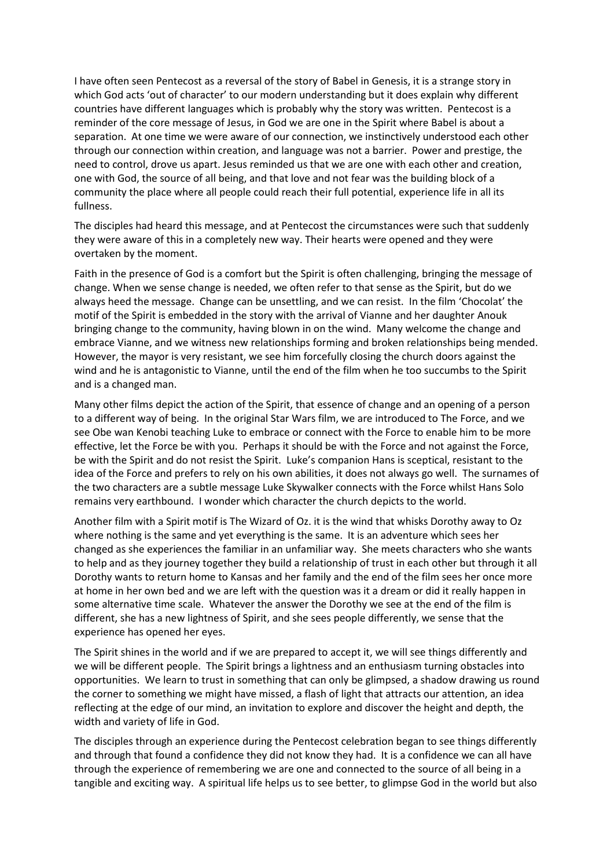I have often seen Pentecost as a reversal of the story of Babel in Genesis, it is a strange story in which God acts 'out of character' to our modern understanding but it does explain why different countries have different languages which is probably why the story was written. Pentecost is a reminder of the core message of Jesus, in God we are one in the Spirit where Babel is about a separation. At one time we were aware of our connection, we instinctively understood each other through our connection within creation, and language was not a barrier. Power and prestige, the need to control, drove us apart. Jesus reminded us that we are one with each other and creation, one with God, the source of all being, and that love and not fear was the building block of a community the place where all people could reach their full potential, experience life in all its fullness.

The disciples had heard this message, and at Pentecost the circumstances were such that suddenly they were aware of this in a completely new way. Their hearts were opened and they were overtaken by the moment.

Faith in the presence of God is a comfort but the Spirit is often challenging, bringing the message of change. When we sense change is needed, we often refer to that sense as the Spirit, but do we always heed the message. Change can be unsettling, and we can resist. In the film 'Chocolat' the motif of the Spirit is embedded in the story with the arrival of Vianne and her daughter Anouk bringing change to the community, having blown in on the wind. Many welcome the change and embrace Vianne, and we witness new relationships forming and broken relationships being mended. However, the mayor is very resistant, we see him forcefully closing the church doors against the wind and he is antagonistic to Vianne, until the end of the film when he too succumbs to the Spirit and is a changed man.

Many other films depict the action of the Spirit, that essence of change and an opening of a person to a different way of being. In the original Star Wars film, we are introduced to The Force, and we see Obe wan Kenobi teaching Luke to embrace or connect with the Force to enable him to be more effective, let the Force be with you. Perhaps it should be with the Force and not against the Force, be with the Spirit and do not resist the Spirit. Luke's companion Hans is sceptical, resistant to the idea of the Force and prefers to rely on his own abilities, it does not always go well. The surnames of the two characters are a subtle message Luke Skywalker connects with the Force whilst Hans Solo remains very earthbound. I wonder which character the church depicts to the world.

Another film with a Spirit motif is The Wizard of Oz. it is the wind that whisks Dorothy away to Oz where nothing is the same and yet everything is the same. It is an adventure which sees her changed as she experiences the familiar in an unfamiliar way. She meets characters who she wants to help and as they journey together they build a relationship of trust in each other but through it all Dorothy wants to return home to Kansas and her family and the end of the film sees her once more at home in her own bed and we are left with the question was it a dream or did it really happen in some alternative time scale. Whatever the answer the Dorothy we see at the end of the film is different, she has a new lightness of Spirit, and she sees people differently, we sense that the experience has opened her eyes.

The Spirit shines in the world and if we are prepared to accept it, we will see things differently and we will be different people. The Spirit brings a lightness and an enthusiasm turning obstacles into opportunities. We learn to trust in something that can only be glimpsed, a shadow drawing us round the corner to something we might have missed, a flash of light that attracts our attention, an idea reflecting at the edge of our mind, an invitation to explore and discover the height and depth, the width and variety of life in God.

The disciples through an experience during the Pentecost celebration began to see things differently and through that found a confidence they did not know they had. It is a confidence we can all have through the experience of remembering we are one and connected to the source of all being in a tangible and exciting way. A spiritual life helps us to see better, to glimpse God in the world but also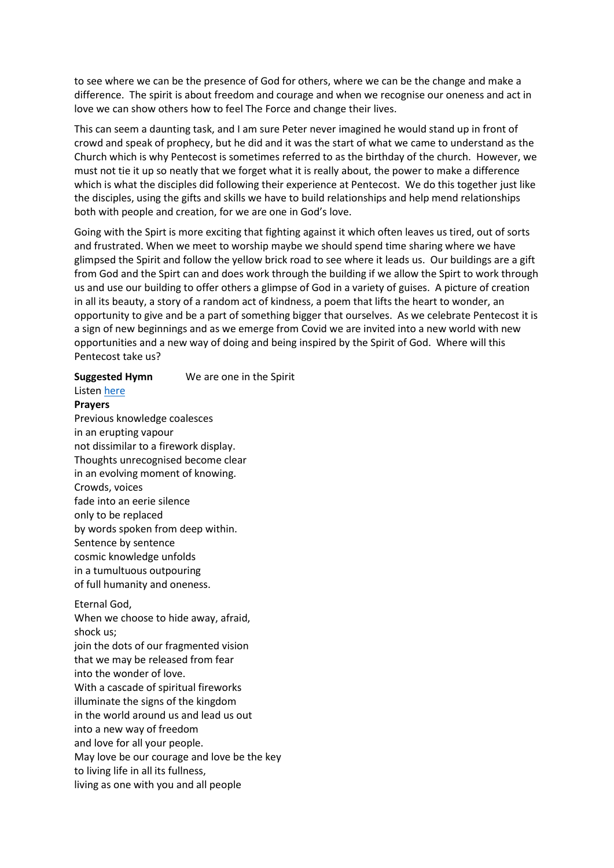to see where we can be the presence of God for others, where we can be the change and make a difference. The spirit is about freedom and courage and when we recognise our oneness and act in love we can show others how to feel The Force and change their lives.

This can seem a daunting task, and I am sure Peter never imagined he would stand up in front of crowd and speak of prophecy, but he did and it was the start of what we came to understand as the Church which is why Pentecost is sometimes referred to as the birthday of the church. However, we must not tie it up so neatly that we forget what it is really about, the power to make a difference which is what the disciples did following their experience at Pentecost. We do this together just like the disciples, using the gifts and skills we have to build relationships and help mend relationships both with people and creation, for we are one in God's love.

Going with the Spirt is more exciting that fighting against it which often leaves us tired, out of sorts and frustrated. When we meet to worship maybe we should spend time sharing where we have glimpsed the Spirit and follow the yellow brick road to see where it leads us. Our buildings are a gift from God and the Spirt can and does work through the building if we allow the Spirt to work through us and use our building to offer others a glimpse of God in a variety of guises. A picture of creation in all its beauty, a story of a random act of kindness, a poem that lifts the heart to wonder, an opportunity to give and be a part of something bigger that ourselves. As we celebrate Pentecost it is a sign of new beginnings and as we emerge from Covid we are invited into a new world with new opportunities and a new way of doing and being inspired by the Spirit of God. Where will this Pentecost take us?

# **Suggested Hymn** We are one in the Spirit

# Listen [here](https://www.youtube.com/watch?v=nJ2hQtmC0d0)

**Prayers** 

Previous knowledge coalesces in an erupting vapour not dissimilar to a firework display. Thoughts unrecognised become clear in an evolving moment of knowing. Crowds, voices fade into an eerie silence only to be replaced by words spoken from deep within. Sentence by sentence cosmic knowledge unfolds in a tumultuous outpouring of full humanity and oneness.

#### Eternal God,

When we choose to hide away, afraid, shock us;

join the dots of our fragmented vision that we may be released from fear into the wonder of love. With a cascade of spiritual fireworks illuminate the signs of the kingdom in the world around us and lead us out into a new way of freedom and love for all your people. May love be our courage and love be the key to living life in all its fullness,

living as one with you and all people